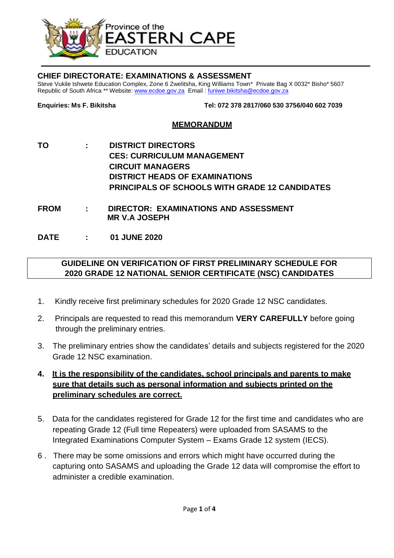

## **CHIEF DIRECTORATE: EXAMINATIONS & ASSESSMENT**

Steve Vukile tshwete Education Complex, Zone 6 Zwelitsha, King Williams Town\* Private Bag X 0032\* Bisho\* 5607 Republic of South Africa \*\* Website: [www.ecdoe.gov.za](http://www.ecdoe.gov.za/) Email : [funiwe.bikitsha@ecdoe.gov.za](mailto:funiwe.bikitsha@ecdoe.gov.za)

**Enquiries: Ms F. Bikitsha Tel: 072 378 2817/060 530 3756/040 602 7039**

## **MEMORANDUM**

- **TO : DISTRICT DIRECTORS CES: CURRICULUM MANAGEMENT CIRCUIT MANAGERS DISTRICT HEADS OF EXAMINATIONS PRINCIPALS OF SCHOOLS WITH GRADE 12 CANDIDATES**
- **FROM : DIRECTOR: EXAMINATIONS AND ASSESSMENT MR V.A JOSEPH**

**DATE : 01 JUNE 2020**

## **GUIDELINE ON VERIFICATION OF FIRST PRELIMINARY SCHEDULE FOR 2020 GRADE 12 NATIONAL SENIOR CERTIFICATE (NSC) CANDIDATES**

- 1. Kindly receive first preliminary schedules for 2020 Grade 12 NSC candidates.
- 2. Principals are requested to read this memorandum **VERY CAREFULLY** before going through the preliminary entries.
- 3. The preliminary entries show the candidates' details and subjects registered for the 2020 Grade 12 NSC examination.
- **4. It is the responsibility of the candidates, school principals and parents to make sure that details such as personal information and subjects printed on the preliminary schedules are correct.**
- 5. Data for the candidates registered for Grade 12 for the first time and candidates who are repeating Grade 12 (Full time Repeaters) were uploaded from SASAMS to the Integrated Examinations Computer System – Exams Grade 12 system (IECS).
- 6 . There may be some omissions and errors which might have occurred during the capturing onto SASAMS and uploading the Grade 12 data will compromise the effort to administer a credible examination.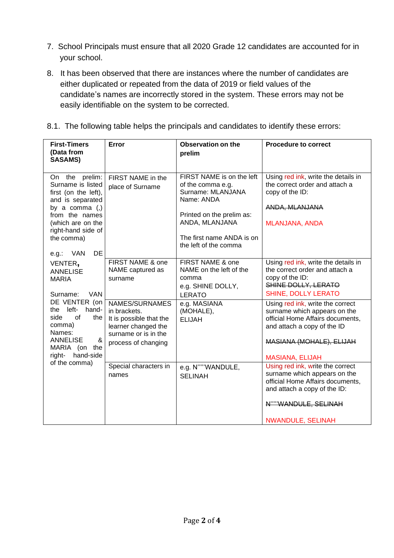- 7. School Principals must ensure that all 2020 Grade 12 candidates are accounted for in your school.
- 8. It has been observed that there are instances where the number of candidates are either duplicated or repeated from the data of 2019 or field values of the candidate's names are incorrectly stored in the system. These errors may not be easily identifiable on the system to be corrected.
- 8.1. The following table helps the principals and candidates to identify these errors:

| <b>First-Timers</b><br>(Data from<br><b>SASAMS)</b>                                                                                                                                                                                   | Error                                                                                                                           | Observation on the<br>prelim                                                                                                                                                           | <b>Procedure to correct</b>                                                                                                                                                               |
|---------------------------------------------------------------------------------------------------------------------------------------------------------------------------------------------------------------------------------------|---------------------------------------------------------------------------------------------------------------------------------|----------------------------------------------------------------------------------------------------------------------------------------------------------------------------------------|-------------------------------------------------------------------------------------------------------------------------------------------------------------------------------------------|
| On the<br>prelim:<br>Surname is listed<br>first (on the left),<br>and is separated<br>by a comma (,)<br>from the names<br>(which are on the<br>right-hand side of<br>the comma)<br>DE<br>e.g.: VAN                                    | FIRST NAME in the<br>place of Surname                                                                                           | FIRST NAME is on the left<br>of the comma e.g.<br>Surname: MLANJANA<br>Name: ANDA<br>Printed on the prelim as:<br>ANDA, MLANJANA<br>The first name ANDA is on<br>the left of the comma | Using red ink, write the details in<br>the correct order and attach a<br>copy of the ID:<br>ANDA, MLANJANA<br><b>MLANJANA, ANDA</b>                                                       |
| VENTER,<br><b>ANNELISE</b><br><b>MARIA</b><br>Surname:<br><b>VAN</b><br>DE VENTER (on<br>the left-<br>hand-<br>of<br>side<br>the<br>comma)<br>Names:<br>&<br><b>ANNELISE</b><br>MARIA (on the<br>hand-side<br>right-<br>of the comma) | FIRST NAME & one<br>NAME captured as<br>surname                                                                                 | FIRST NAME & one<br>NAME on the left of the<br>comma<br>e.g. SHINE DOLLY,<br><b>LERATO</b>                                                                                             | Using red ink, write the details in<br>the correct order and attach a<br>copy of the ID:<br>SHINE DOLLY, LERATO<br><b>SHINE, DOLLY LERATO</b>                                             |
|                                                                                                                                                                                                                                       | NAMES/SURNAMES<br>in brackets.<br>It is possible that the<br>learner changed the<br>surname or is in the<br>process of changing | e.g. MASIANA<br>(MOHALE),<br><b>ELIJAH</b>                                                                                                                                             | Using red ink, write the correct<br>surname which appears on the<br>official Home Affairs documents,<br>and attach a copy of the ID<br>MASIANA (MOHALE), ELIJAH<br><b>MASIANA, ELIJAH</b> |
|                                                                                                                                                                                                                                       | Special characters in<br>names                                                                                                  | e.g. N"""WANDULE,<br><b>SELINAH</b>                                                                                                                                                    | Using red ink, write the correct<br>surname which appears on the<br>official Home Affairs documents,<br>and attach a copy of the ID:<br>N""WANDULE, SELINAH<br><b>NWANDULE, SELINAH</b>   |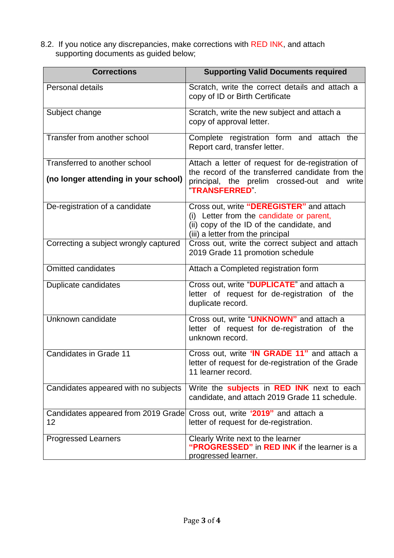8.2. If you notice any discrepancies, make corrections with RED INK, and attach supporting documents as guided below;

| <b>Corrections</b>                        | <b>Supporting Valid Documents required</b>                                                                                                                             |  |
|-------------------------------------------|------------------------------------------------------------------------------------------------------------------------------------------------------------------------|--|
| Personal details                          | Scratch, write the correct details and attach a<br>copy of ID or Birth Certificate                                                                                     |  |
| Subject change                            | Scratch, write the new subject and attach a<br>copy of approval letter.                                                                                                |  |
| Transfer from another school              | Complete registration form and attach the<br>Report card, transfer letter.                                                                                             |  |
| Transferred to another school             | Attach a letter of request for de-registration of<br>the record of the transferred candidate from the                                                                  |  |
| (no longer attending in your school)      | principal, the prelim crossed-out and<br>write<br><b>"TRANSFERRED"</b>                                                                                                 |  |
| De-registration of a candidate            | Cross out, write "DEREGISTER" and attach<br>(i) Letter from the candidate or parent,<br>(ii) copy of the ID of the candidate, and<br>(iii) a letter from the principal |  |
| Correcting a subject wrongly captured     | Cross out, write the correct subject and attach<br>2019 Grade 11 promotion schedule                                                                                    |  |
| <b>Omitted candidates</b>                 | Attach a Completed registration form                                                                                                                                   |  |
| Duplicate candidates                      | Cross out, write "DUPLICATE" and attach a<br>letter of request for de-registration of the<br>duplicate record.                                                         |  |
| Unknown candidate                         | Cross out, write "UNKNOWN" and attach a<br>letter of request for de-registration of the<br>unknown record.                                                             |  |
| Candidates in Grade 11                    | Cross out, write 'IN GRADE 11" and attach a<br>letter of request for de-registration of the Grade<br>11 learner record.                                                |  |
| Candidates appeared with no subjects      | Write the <b>subjects</b> in <b>RED INK</b> next to each<br>candidate, and attach 2019 Grade 11 schedule.                                                              |  |
| Candidates appeared from 2019 Grade<br>12 | Cross out, write '2019" and attach a<br>letter of request for de-registration.                                                                                         |  |
| <b>Progressed Learners</b>                | Clearly Write next to the learner<br>"PROGRESSED" in RED INK if the learner is a<br>progressed learner.                                                                |  |